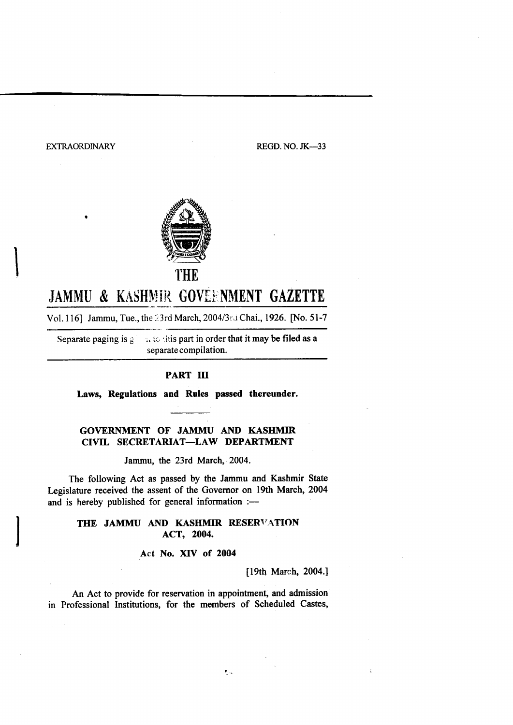EXTRAORDINARY REGD. NO. JK-33



# JAMMU & KASHMIR GOVEENMENT GAZETTE

Vol. 116] Jammu, Tue., the 23rd March, 2004/3rd Chai., 1926. [No. 51-7

Separate paging is  $g \rightarrow \infty$  to this part in order that it may be filed as a separate compilation.

# PART III

Laws, Regulations and Rules passed thereunder.

# GOVERNMENT OF JAMMU AND KASHMIR CIVIL SECRETARIAT\_LAW DEPARTMENT

Jammu, the 23rd March, 2004.

The following Act as passed by the Jammu and Kashmir State Legislature received the assent of the Governor on 19th March, 2004 and is hereby published for general information  $:$ --

# THE JAMMU AND KASHMIR RESERVATION ACT, 2004.

Act No. XIV of 2004

[19th March, 2004.]

An Act to provide for reservation in appointment, and admission in Professional Institutions, for the members of Scheduled Castes,

 $\mathbf{L}$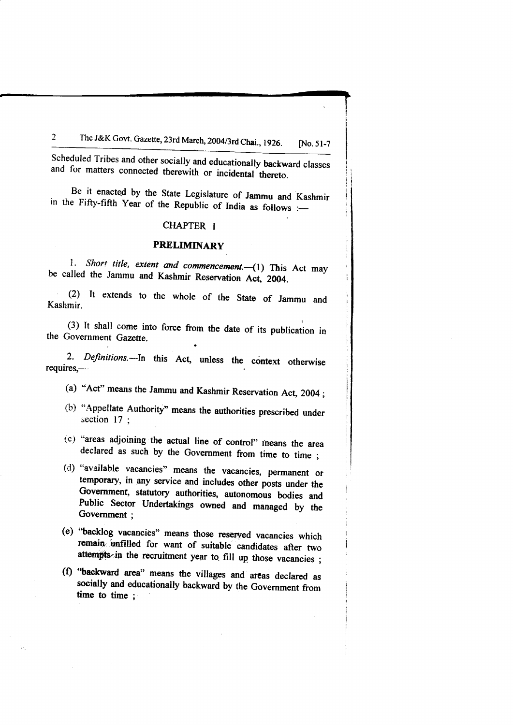### The J&K Govt. Gazette, 23rd March, 2004/3rd Chai., 1926. [No. 51-7]  $\overline{2}$

Scheduled Tribes and other socially and educationally backward classes and for matters connected therewith or incidental thereto.

Be it enacted by the State Legislature of Jammu and Kashmir in the Fifty-fifth Year of the Republic of India as follows  $:=$ 

# CHAPTER I

# PRELIMINARY

1. Short title, extent and commencement. - (1) This Act may be called the Jammu and Kashmir Reservation Act, 2004.

(2) It extends to the whole of the State of Jammu and Kashmir.

(3) It shall come into force from the date of its publication in the Government Gazette.

, the contract of the contract of the contract of  $\theta$ 

2. Definitions.---In this Act, unless the context otherwise requires,--

(a) "Act" means the Jammu and Kashmir Reservation Act, 2004;

- (b) "Appellate Authority" means the authorities prescribed under section  $17$ ;
- (c) "areas adjoining the actual line of control" means the area declared as such by the Government from time to time ;<br>(d) "available vacancies" means the vacancies, permanent or
- temporary, in any service and includes other posts under the Government, statutory authorities, autonomous bodies and Public Sector Undertakings owned and managed by the Government :
- (e) "backlog vacancies" means those reserved vacancies which remain unfilled for want of suitable candidates after two attempts in the recruitment year to. fill up those vacancies ;
- (f) "backward area" means the villages and areas declared as socially and educationally backward by the Government from time to time ;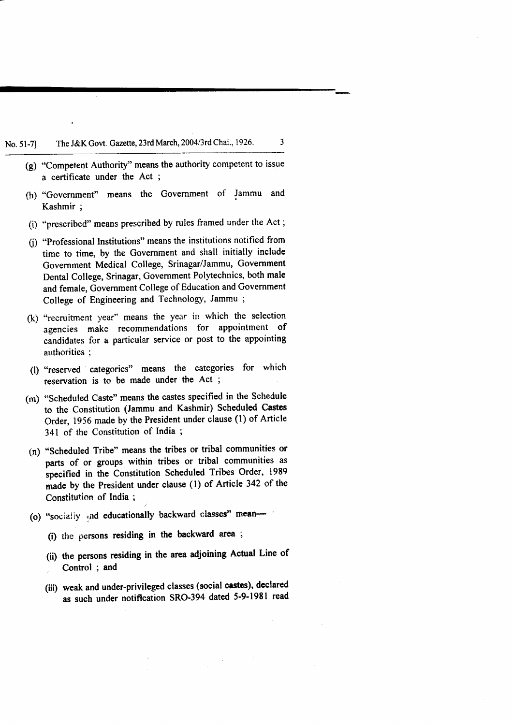No. 51-7] The J&K Govt. Gazette, 23rd March, 2004/3rd Chai., 1926.

 $(g)$  "Competent Authority" means the authority competent to issue a certificate under the Act ;

3

- (h) "Government" means the Govemment of Jammu and Kashmir ;
- (i) "prescribed" means prescribed by rules framed under the Act ;
- (i) "Professional Institutions" means the institutions notified from time to time, by the Government and shall initially include Government Medical College, Srinagar/Jammu, Government Dental College, Srinagar, Government Polytechnics, both male and female, Government College of Education and Government College of Engineering and Technology, Jammu ;
- $(k)$  "recruitment year" means the year in which the selection agencies make recommendations for appointment of candidates for a particular service or post to the appointing authorities ;
- (!) "resenred categories" means the categories for which reservation is to be made under the Act ;
- (m) "Scheduled Caste" means the castes specified in the Schedule to the Constitution (Jammu and Kashmir) Scheduled Castcs order, 1956 made by the President under clause (l) of Article 341 of the Constitution of India ;
- (n) "Scheduled Tribe" means the tribes or tribal communities or parts of or groups within tribes or tribal communities as specified in the Constitution Scheduled Tribes Order, 1989 made by the President under clause (l) of Artiele 342 of the Constituticn of India ; ,.
- (o) "socially and educationally backward classes" mean-
	- (i) the persons residing in the backward area ;
	- (ii) the penrons residing in the area adjoining Actual Line of Control ; and
	- (iii) weak and under-privileged classes (social castes), declared as such under notiffcation SRO-394 dated 5-9-1981 read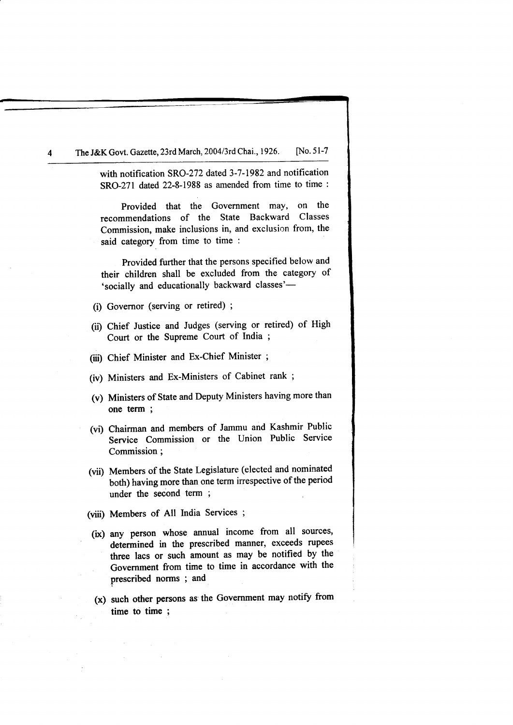The J&K Govt. Gazette, 23rd March, 2004/3rd Chai., 1926. [No. 51-7

with notification SRO-272 dated 3-7-1982 and notification SRO-271 dated 22-8-1988 as amended from time to time :

Provided that the Government may, on the recommendations of the State Backward Classes Commission, make inclusions in, and exclusion from, the said category from time to time :

Provided further that the persons specified below and their children shall be excluded from the category of 'socially and educationally backward classes'-

- (i) Governor (serving or retired) ;
- (ii) Chief Justice and Judges (serving or retired) of High Court or the Supreme Court of India ;
- (iii) Chief Minister and Ex-Chief Minister ;
- (iv) Ministers and Ex-Ministers of Cabinet rank ;
- (v) Ministers of State and Deputy Ministers having more than one term ;
- (vi) Chairman and members of Jammu and Kashmir Public Service Commission or the Union Public Service Commission;
- (vii) Members of the State Legislature (elected and nominated both) having more than one term irrespective of the period under the second term ;
- (viii) Members of All India Services ;
- (ix) any person whose annual income from all sources, determined in the prescribed manner, exceeds rupees three lacs or such amount as may be notified by the Government from time to time in accordance with the prescribed norms ; and
- $(x)$  such other persons as the Government may notify from time to time ;

4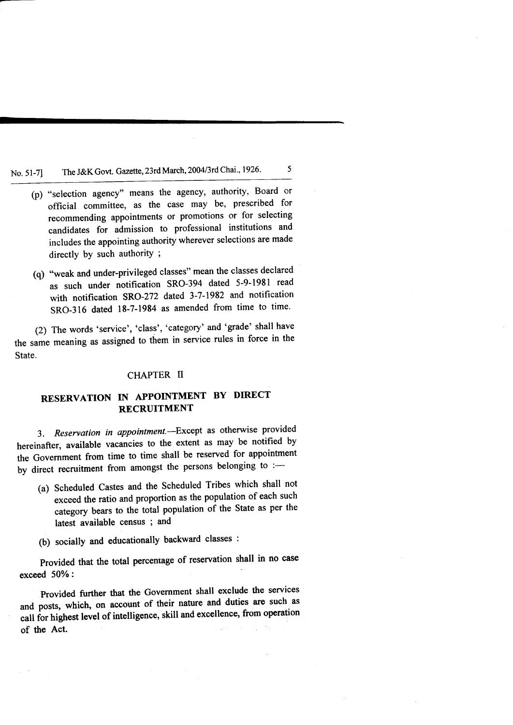# No. 51-7] The J&K Govt. Gazette, 23rd March, 2004/3rd Chai., 1926.

(p) "selection agency" means the agency, authority, Board or official committee, as the case may be, prescribed for recommending appointments or promotions or for selecting candidates for admission to professional institutions and includes the appointing authority wherever selections are made directly by such authority ;

5

(q) "weak and under-privileged classes" mean the classes declared as such under notification SRO-394 dated 5-9-1981 read with notification SRO-272 dated 3-7-1982 and notification SRO-316 dated 18-7-1984 as amended from time to time.

(2) The words 'service', 'class', 'category' and 'grade' shall have the same meaning as assigned to them in service rules in force in the State.

# CHAPTER II

# RESERVATION IN APPOINTMENT BY DIRECT RECRUITMENT

3. Reservation in appointment.--Except as otherwise provided hereinafter, available vacancies to the extent as may be notified by the Government from time to time shall be reserved for appointment by direct recruitment from amongst the persons belonging to :-

- (a) Scheduled castes and the scheduled Tribes which shall not exceed the ratio and proportion as the population of each such category bears to the total population of the State as per the latest available census ; and
- (b) socially and educationally backward classes :

Provided that the total percentage of reservation shall in no case exceed  $50\%$ :

Provided further that the Government shall exclude the services and posts, which, on account of their nature and duties are such as call for highest level of intelligence, skill and excellence, from operation of the Act.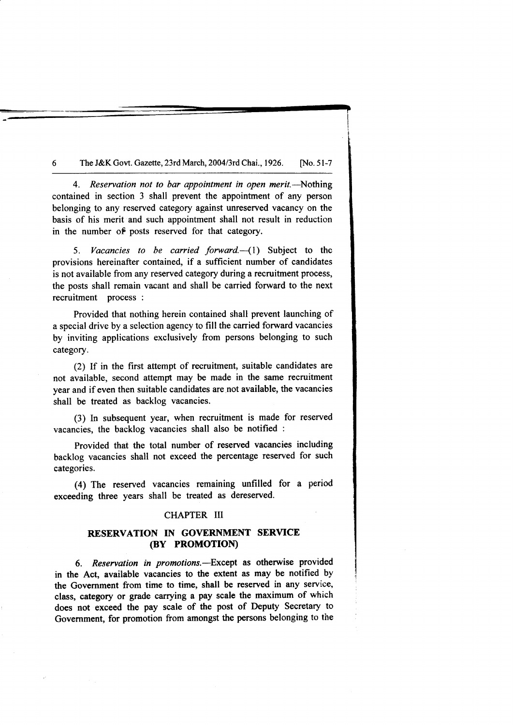#### 6 The J&K Govt. Gazette, 23rd March, 2004/3rd Chai., 1926. [No. 51-7]

4. Reservation not to bar appointment in open merit.—Nothing contained in section 3 shall prevent the appointment of any person belonging to any reserved category against unreserved vacancy on the basis of his merit and such appointment shall not result in reduction in the number of posts reserved for that category.

5. Vacancies to be carried forward. $\left(\begin{array}{cc}1\end{array}\right)$  Subject to the provisions hereinafter contained, if a sufficient number of candidates is not available from any reserved category during a recruitment process, the posts shall remain vacant and shall be carried forward to the next recruitment process :

Provided that nothing herein contained shall prevent launching of a special drive by a selection agency to fill the carried forward vacancies by inviting applications exclusively from persons belonging to such category.

(2) If in the first attempt of recruitment, suitable candidates are not available, second attempt may be made in the same recruitment year and if even then suitable candidates are not available, the vacancies shall be treated as backlog vacancies.

(3) In subsequent year, when recruitment is made for reserved vacancies, the backlog vacancies shall also be notified :

Provided that the total number of reserved vacancies including backlog vacancies shall not exceed the percentage reserved for such categories.

(a) The reserved vacancies remaining unfilled for a period exceeding three years shall be treated as dereserved.

### CHAPTER III

# RESERVATION IN GOVERNMENT SERVICE (BY PROMOTION)

6. Reservation in promotions.-Except as otherwise provided in the Act, available vacancies to the extent as may be notified by the Government from time to time, shall be reserved in any service, class, category or grade carrying a pay scale the maximum of which does not exceed the pay scale of the post of Deputy Secretary to Government, for promotion from amongst the persons belonging to the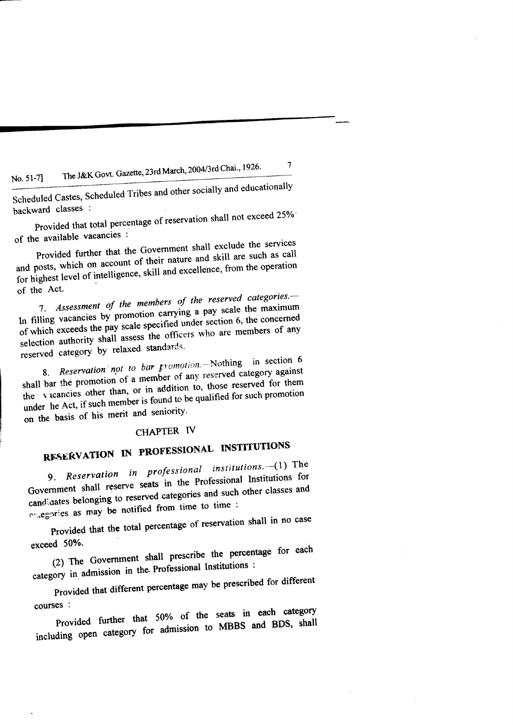# The J&K Govt. Gazette, 23rd March, 2004/3rd Chai., 1926. No. 51-7]

Scheduled Castes, Scheduled Tribes and other socially and educationally backward classes :

 $\overline{7}$ 

Provided that total percentage of reservation shall not exceed 25% of the available vacancies :

Provided further that the Government shall exclude the services and posts, which on account of their nature and skill are such as call for highest level of intelligence, skill and excellence, from the operation of the Act.

7. Assessment of the members of the reserved categories. In filling vacancies by promotion carrying a pay scale the maximum of which exceeds the pay scale specified under section 6, the concerned selection authority shall assess the officers who are members of any reserved category by relaxed standards.

8. Reservation not to bar promotion. Nothing in section 6 shall bar the promotion of a member of any reserved category against the vicancies other than, or in addition to, those reserved for them under he Act, if such member is found to be qualified for such promotion on the basis of his merit and seniority.

# CHAPTER IV

# RESERVATION IN PROFESSIONAL INSTITUTIONS

9. Reservation in professional institutions.-(1) The Government shall reserve seats in the Professional Institutions for candidates belonging to reserved categories and such other classes and entegories as may be notified from time to time :

Provided that the total percentage of reservation shall in no case exceed 50%.

(2) The Government shall prescribe the percentage for each category in admission in the Professional Institutions :

Provided that different percentage may be prescribed for different courses :

Provided further that 50% of the seats in each category including open category for admission to MBBS and BDS, shall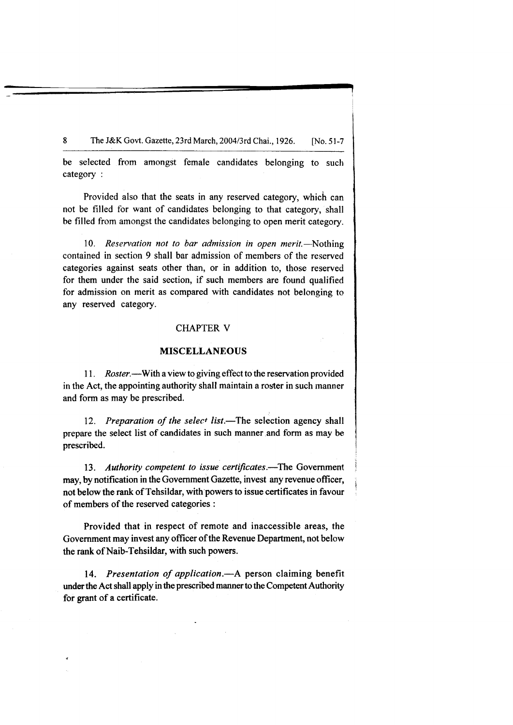8 The J&K Govt. Gazette, 23rd March, 2004/3rd Chai., 1926. [No. 51-7]

be selected from amongst female candidates belonging to such category :

Provided also that the seats in any reserved category, which can not be filled for want of candidates belonging to that category, shall be filled from amongst the candidates belonging to open merit category.

10. Reservation not to bar admission in open merit.—Nothing contained in section 9 shall bar admission of members of the reserved categories against seats other than, or in addition to, those reserved for them under the said section, if such members are found qualified for admission on merit as compared with candidates not belonging to any reserved category.

# **CHAPTER V**

### MISCELLANEOUS

11. Roster.—With a view to giving effect to the reservation provided in the Act, the appointing authority shall maintain a roster in such manner and form as may be prescribed.

12. Preparation of the select list.—The selection agency shall prepare the select list of candidates in such manner and form as may be prescribed.

13. Authority competent to issue certificates.—The Government may, by notification in the Government Gazette, invest any revenue officer, not below the rank of Tehsildar, with'powers to issue certificates in favour of members of the reserved categories:

Provided that in respect of remote and inaccessible areas, the Government may invest any officer of the Revenue Department, not below the rank of Naib-Tehsildar, with such powers.

14. Presentation of application.- A person claiming benefit under the Act shall apply in the prescribed manner to the Competent Authority for grant of a certificate.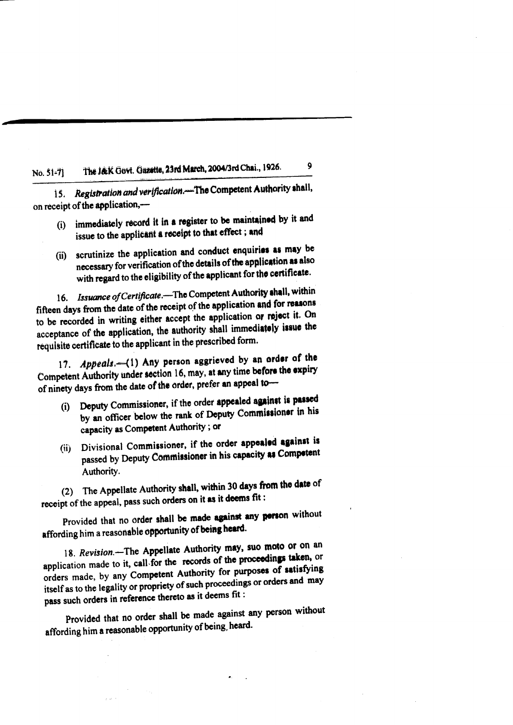### The J&K Govt. Gazette, 23rd March, 2004/3rd Chai., 1926.  $No. 51-71$

Registration and verification. The Competent Authority shall, 15. on receipt of the application,-

(i) immediately record it in a register to be maintained by it and issue to the applicant a receipt to that effect; and

9

(ii) scrutinize the application and conduct enquiries as may be necessary for verification of the details of the application as also with regard to the eligibility of the applicant for the certificate.

16. Issuance of Certificate.-The Competent Authority shall, within fifteen days from the date of the receipt of the application and for reasons to be recorded in writing either accept the application or reject it. On acceptance of the application, the authority shall immediately issue the requisite certificate to the applicant in the prescribed form.

17. Appeals.-(1) Any person aggrieved by an order of the Competent Authority under section 16, may, at any time before the expiry of ninety days from the date of the order, prefer an appeal to-

- (i) Deputy Commissioner, if the order appealed against is passed by an officer below the rank of Deputy Commissioner in his capacity as Competent Authority; or
- (ii) Divisional Commissioner, if the order appealed against is passed by Deputy Commissioner in his capacity as Competent Authority.

(2) The Appellate Authority shall, within 30 days from the date of receipt of the appeal, pass such orders on it as it deems fit:

Provided that no order shall be made against any person without affording him a reasonable opportunity of being heard.

18. Revision.-The Appellate Authority may, suo moto or on an application made to it, call for the records of the proceedings taken, or orders made, by any Competent Authority for purposes of satisfying itself as to the legality or propriety of such proceedings or orders and may pass such orders in reference thereto as it deems fit :

Provided that no order shall be made against any person without affording him a reasonable opportunity of being, heard.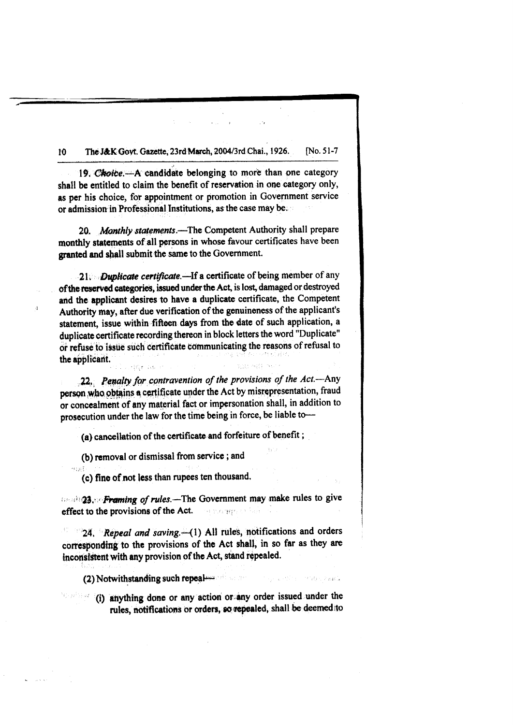The J&K Govt. Gazette, 23rd March, 2004/3rd Chai., 1926. **No. 51-7** 10

19. Choice.—A candidate belonging to more than one category shall be entitled to claim the benefit of reservation in one category only, as per his choice, for appointment or promotion in Government service or admission in Professional Institutions, as the case may be.

20. Monthly statements.—The Competent Authority shall prepare monthly statements of all persons in whose favour certificates have been granted and shall submit the same to the Government.

21. Duplicate certificate.-If a certificate of being member of any of the reserved categories, issued under the Act, is lost, damaged or destroyed and the applicant desires to have a duplicate certificate, the Competent Authority may, after due verification of the genuineness of the applicant's statement, issue within fifteen days from the date of such application, a duplicate certificate recording thereon in block letters the word "Duplicate" or refuse to issue such certificate communicating the reasons of refusal to the applicant.

22. Penalty for contravention of the provisions of the Act.-Any person who obtains a certificate under the Act by misrepresentation, fraud or concealment of any material fact or impersonation shall, in addition to prosecution under the law for the time being in force, be liable to-

(a) cancellation of the certificate and forfeiture of benefit :

(b) removal or dismissal from service; and

 $\overline{d}$ 

 $\sim$  131 (c) fine of not less than rupees ten thousand.

**Brash 23. Framing of rules.** The Government may make rules to give effect to the provisions of the Act. ou naqqa shah

24. Repeal and saving. (1) All rules, notifications and orders corresponding to the provisions of the Act shall, in so far as they are inconsistent with any provision of the Act, stand repealed.

 $(2)$  Notwithstanding such repeated as a set of  $\sim$ The prestical central subsets.

(i) anything done or any action or any order issued under the م و فرن) ( rules, notifications or orders, so repealed, shall be deemed to